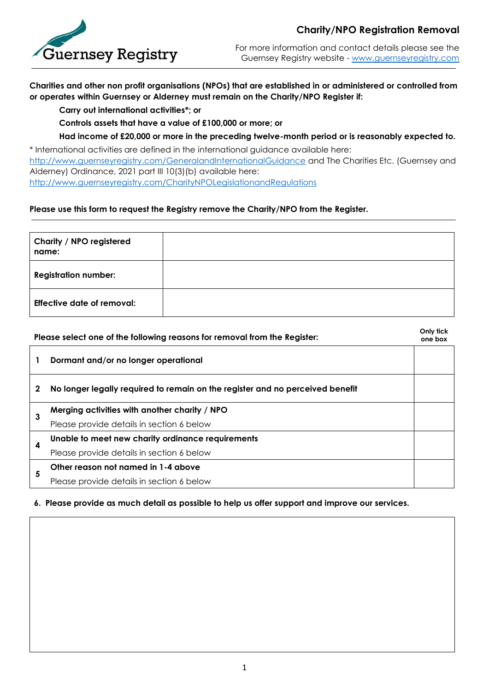

## **Charity/NPO Registration Removal**

For more information and contact details please see the Guernsey Registry website - [www.guernseyregistry.com](http://www.guernseyregistry.com/)

**Charities and other non profit organisations (NPOs) that are established in or administered or controlled from or operates within Guernsey or Alderney must remain on the Charity/NPO Register if:**

**Carry out international activities\*; or** 

**Controls assets that have a value of £100,000 or more; or** 

**Had income of £20,000 or more in the preceding twelve-month period or is reasonably expected to.**

\* International activities are defined in the international guidance available here: <http://www.guernseyregistry.com/GeneralandInternationalGuidance> and The Charities Etc. (Guernsey and Alderney) Ordinance, 2021 part III 10(3)(b) available here: <http://www.guernseyregistry.com/CharityNPOLegislationandRegulations>

## **Please use this form to request the Registry remove the Charity/NPO from the Register.**

| Charity / NPO registered<br>name: |  |
|-----------------------------------|--|
| <b>Registration number:</b>       |  |
| <b>Effective date of removal:</b> |  |

| Please select one of the following reasons for removal from the Register: |                                                                               | Only tick<br>one box |
|---------------------------------------------------------------------------|-------------------------------------------------------------------------------|----------------------|
|                                                                           | Dormant and/or no longer operational                                          |                      |
| 2                                                                         | No longer legally required to remain on the register and no perceived benefit |                      |
| 3                                                                         | Merging activities with another charity / NPO                                 |                      |
|                                                                           | Please provide details in section 6 below                                     |                      |
|                                                                           | Unable to meet new charity ordinance requirements                             |                      |
| 4                                                                         | Please provide details in section 6 below                                     |                      |
| 5                                                                         | Other reason not named in 1-4 above                                           |                      |
|                                                                           | Please provide details in section 6 below                                     |                      |

## **6. Please provide as much detail as possible to help us offer support and improve our services.**